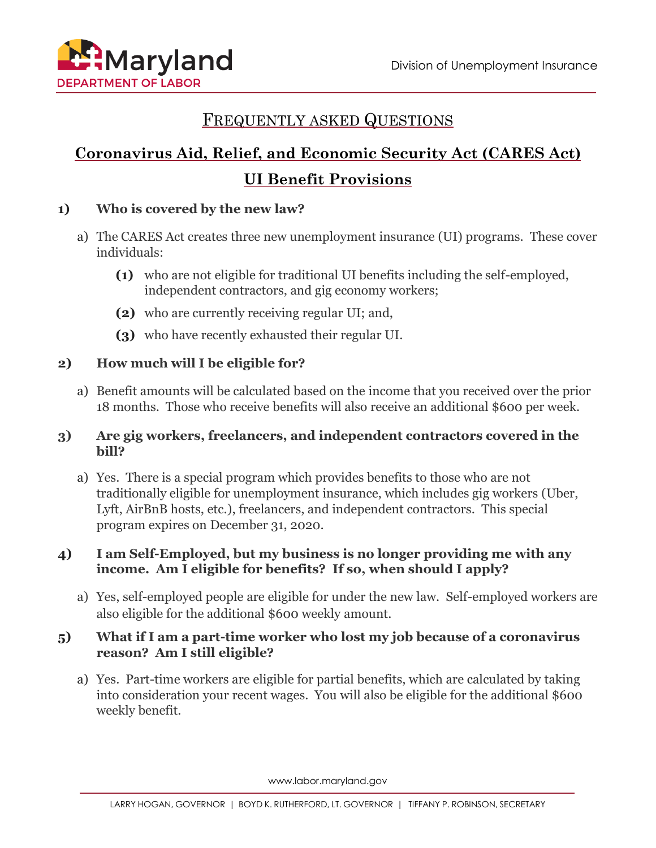

# FREQUENTLY ASKED QUESTIONS

# **Coronavirus Aid, Relief, and Economic Security Act (CARES Act) UI Benefit Provisions**

#### **1) Who is covered by the new law?**

- a) The CARES Act creates three new unemployment insurance (UI) programs. These cover individuals:
	- **(1)** who are not eligible for traditional UI benefits including the self-employed, independent contractors, and gig economy workers;
	- **(2)** who are currently receiving regular UI; and,
	- **(3)** who have recently exhausted their regular UI.

#### **2) How much will I be eligible for?**

a) Benefit amounts will be calculated based on the income that you received over the prior 18 months. Those who receive benefits will also receive an additional \$600 per week.

#### **3) Are gig workers, freelancers, and independent contractors covered in the bill?**

a) Yes. There is a special program which provides benefits to those who are not traditionally eligible for unemployment insurance, which includes gig workers (Uber, Lyft, AirBnB hosts, etc.), freelancers, and independent contractors. This special program expires on December 31, 2020.

#### **4) I am Self-Employed, but my business is no longer providing me with any income. Am I eligible for benefits? If so, when should I apply?**

a) Yes, self-employed people are eligible for under the new law. Self-employed workers are also eligible for the additional \$600 weekly amount.

#### **5) What if I am a part-time worker who lost my job because of a coronavirus reason? Am I still eligible?**

a) Yes. Part-time workers are eligible for partial benefits, which are calculated by taking into consideration your recent wages. You will also be eligible for the additional \$600 weekly benefit.

www.labor.maryland.gov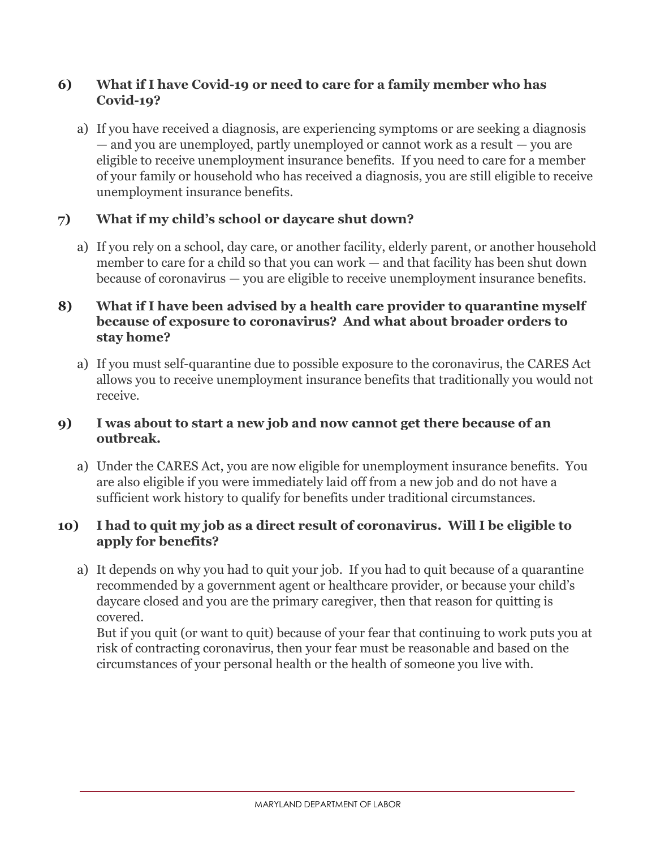#### **6) What if I have Covid-19 or need to care for a family member who has Covid-19?**

a) If you have received a diagnosis, are experiencing symptoms or are seeking a diagnosis — and you are unemployed, partly unemployed or cannot work as a result — you are eligible to receive unemployment insurance benefits. If you need to care for a member of your family or household who has received a diagnosis, you are still eligible to receive unemployment insurance benefits.

# **7) What if my child's school or daycare shut down?**

a) If you rely on a school, day care, or another facility, elderly parent, or another household member to care for a child so that you can work — and that facility has been shut down because of coronavirus — you are eligible to receive unemployment insurance benefits.

#### **8) What if I have been advised by a health care provider to quarantine myself because of exposure to coronavirus? And what about broader orders to stay home?**

a) If you must self-quarantine due to possible exposure to the coronavirus, the CARES Act allows you to receive unemployment insurance benefits that traditionally you would not receive.

#### **9) I was about to start a new job and now cannot get there because of an outbreak.**

a) Under the CARES Act, you are now eligible for unemployment insurance benefits. You are also eligible if you were immediately laid off from a new job and do not have a sufficient work history to qualify for benefits under traditional circumstances.

# **10) I had to quit my job as a direct result of coronavirus. Will I be eligible to apply for benefits?**

a) It depends on why you had to quit your job. If you had to quit because of a quarantine recommended by a government agent or healthcare provider, or because your child's daycare closed and you are the primary caregiver, then that reason for quitting is covered.

But if you quit (or want to quit) because of your fear that continuing to work puts you at risk of contracting coronavirus, then your fear must be reasonable and based on the circumstances of your personal health or the health of someone you live with.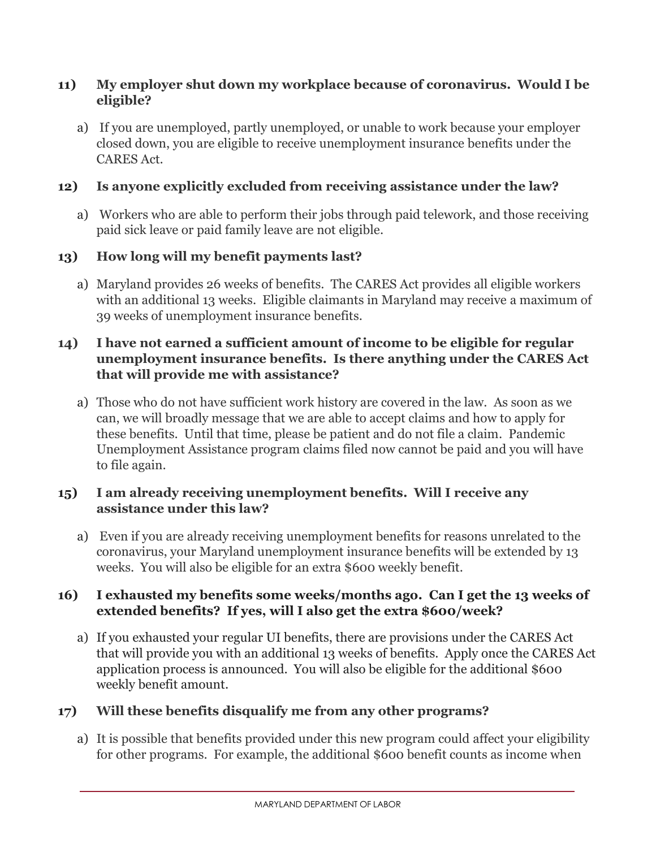#### **11) My employer shut down my workplace because of coronavirus. Would I be eligible?**

a) If you are unemployed, partly unemployed, or unable to work because your employer closed down, you are eligible to receive unemployment insurance benefits under the CARES Act.

# **12) Is anyone explicitly excluded from receiving assistance under the law?**

a) Workers who are able to perform their jobs through paid telework, and those receiving paid sick leave or paid family leave are not eligible.

# **13) How long will my benefit payments last?**

a) Maryland provides 26 weeks of benefits. The CARES Act provides all eligible workers with an additional 13 weeks. Eligible claimants in Maryland may receive a maximum of 39 weeks of unemployment insurance benefits.

# **14) I have not earned a sufficient amount of income to be eligible for regular unemployment insurance benefits. Is there anything under the CARES Act that will provide me with assistance?**

a) Those who do not have sufficient work history are covered in the law. As soon as we can, we will broadly message that we are able to accept claims and how to apply for these benefits. Until that time, please be patient and do not file a claim. Pandemic Unemployment Assistance program claims filed now cannot be paid and you will have to file again.

# **15) I am already receiving unemployment benefits. Will I receive any assistance under this law?**

a) Even if you are already receiving unemployment benefits for reasons unrelated to the coronavirus, your Maryland unemployment insurance benefits will be extended by 13 weeks. You will also be eligible for an extra \$600 weekly benefit.

#### **16) I exhausted my benefits some weeks/months ago. Can I get the 13 weeks of extended benefits? If yes, will I also get the extra \$600/week?**

a) If you exhausted your regular UI benefits, there are provisions under the CARES Act that will provide you with an additional 13 weeks of benefits. Apply once the CARES Act application process is announced. You will also be eligible for the additional \$600 weekly benefit amount.

# **17) Will these benefits disqualify me from any other programs?**

a) It is possible that benefits provided under this new program could affect your eligibility for other programs. For example, the additional \$600 benefit counts as income when